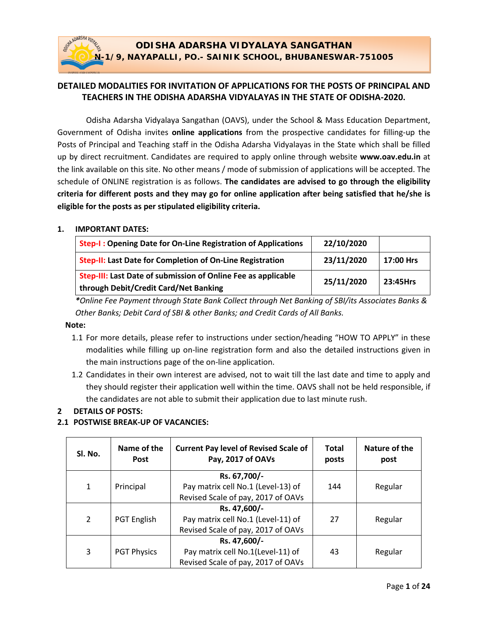# **ODISHA ADARSHA VIDYALAYA SANGATHAN N-1/9, NAYAPALLI, PO.- SAINIK SCHOOL, BHUBANESWAR-751005**

# **DETAILED MODALITIES FOR INVITATION OF APPLICATIONS FOR THE POSTS OF PRINCIPAL AND TEACHERS IN THE ODISHA ADARSHA VIDYALAYAS IN THE STATE OF ODISHA-2020.**

Odisha Adarsha Vidyalaya Sangathan (OAVS), under the School & Mass Education Department, Government of Odisha invites **online applications** from the prospective candidates for filling-up the Posts of Principal and Teaching staff in the Odisha Adarsha Vidyalayas in the State which shall be filled up by direct recruitment. Candidates are required to apply online through website **www.oav.edu.in** at the link available on this site. No other means / mode of submission of applications will be accepted. The schedule of ONLINE registration is as follows. **The candidates are advised to go through the eligibility criteria for different posts and they may go for online application after being satisfied that he/she is eligible for the posts as per stipulated eligibility criteria.** 

#### **1. IMPORTANT DATES:**

ADARSHA VIDYALA

| Step-I: Opening Date for On-Line Registration of Applications                                          | 22/10/2020 |           |
|--------------------------------------------------------------------------------------------------------|------------|-----------|
| Step-II: Last Date for Completion of On-Line Registration                                              | 23/11/2020 | 17:00 Hrs |
| Step-III: Last Date of submission of Online Fee as applicable<br>through Debit/Credit Card/Net Banking | 25/11/2020 | 23:45Hrs  |

*\*Online Fee Payment through State Bank Collect through Net Banking of SBI/its Associates Banks & Other Banks; Debit Card of SBI & other Banks; and Credit Cards of All Banks.*

## **Note:**

- 1.1 For more details, please refer to instructions under section/heading "HOW TO APPLY" in these modalities while filling up on-line registration form and also the detailed instructions given in the main instructions page of the on-line application.
- 1.2 Candidates in their own interest are advised, not to wait till the last date and time to apply and they should register their application well within the time. OAVS shall not be held responsible, if the candidates are not able to submit their application due to last minute rush.

## **2 DETAILS OF POSTS:**

## **2.1 POSTWISE BREAK-UP OF VACANCIES:**

| SI. No.        | Name of the<br><b>Post</b> | <b>Current Pay level of Revised Scale of</b><br>Pay, 2017 of OAVs                                                              | <b>Total</b><br>posts | Nature of the<br>post |  |
|----------------|----------------------------|--------------------------------------------------------------------------------------------------------------------------------|-----------------------|-----------------------|--|
| 1              | Principal                  | Rs. 67,700/-<br>Pay matrix cell No.1 (Level-13) of                                                                             | 144                   | Regular               |  |
| $\overline{2}$ | <b>PGT English</b>         | Revised Scale of pay, 2017 of OAVs<br>Rs. 47,600/-<br>Pay matrix cell No.1 (Level-11) of<br>Revised Scale of pay, 2017 of OAVs | 27                    | Regular               |  |
| 3              | <b>PGT Physics</b>         | Rs. 47,600/-<br>Pay matrix cell No.1(Level-11) of<br>Revised Scale of pay, 2017 of OAVs                                        | 43                    | Regular               |  |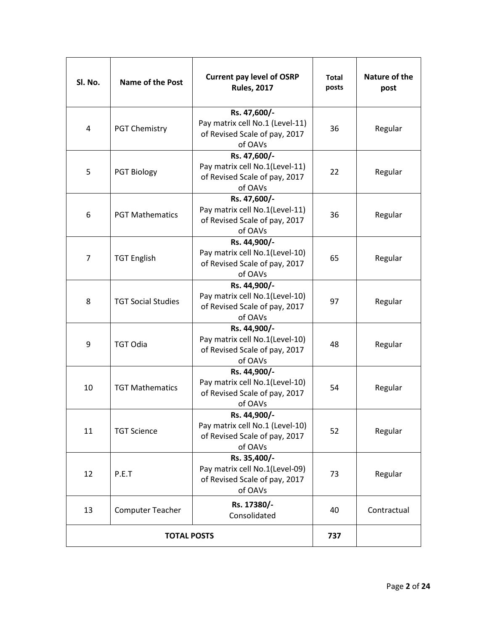| Sl. No. | Name of the Post          | <b>Current pay level of OSRP</b><br><b>Rules, 2017</b>                                      | <b>Total</b><br>posts | Nature of the<br>post |
|---------|---------------------------|---------------------------------------------------------------------------------------------|-----------------------|-----------------------|
| 4       | <b>PGT Chemistry</b>      | Rs. 47,600/-<br>Pay matrix cell No.1 (Level-11)<br>of Revised Scale of pay, 2017<br>of OAVs | 36                    | Regular               |
| 5       | <b>PGT Biology</b>        | Rs. 47,600/-<br>Pay matrix cell No.1(Level-11)<br>of Revised Scale of pay, 2017<br>of OAVs  | 22                    | Regular               |
| 6       | <b>PGT Mathematics</b>    | Rs. 47,600/-<br>Pay matrix cell No.1(Level-11)<br>of Revised Scale of pay, 2017<br>of OAVs  | 36                    | Regular               |
| 7       | <b>TGT English</b>        | Rs. 44,900/-<br>Pay matrix cell No.1(Level-10)<br>of Revised Scale of pay, 2017<br>of OAVs  | 65                    | Regular               |
| 8       | <b>TGT Social Studies</b> | Rs. 44,900/-<br>Pay matrix cell No.1(Level-10)<br>of Revised Scale of pay, 2017<br>of OAVs  | 97                    | Regular               |
| 9       | <b>TGT Odia</b>           | Rs. 44,900/-<br>Pay matrix cell No.1(Level-10)<br>of Revised Scale of pay, 2017<br>of OAVs  | 48                    | Regular               |
| 10      | <b>TGT Mathematics</b>    | Rs. 44,900/-<br>Pay matrix cell No.1(Level-10)<br>of Revised Scale of pay, 2017<br>of OAVs  | 54                    | Regular               |
| 11      | <b>TGT Science</b>        | Rs. 44,900/-<br>Pay matrix cell No.1 (Level-10)<br>of Revised Scale of pay, 2017<br>of OAVs | 52                    | Regular               |
| 12      | P.E.T                     | Rs. 35,400/-<br>Pay matrix cell No.1(Level-09)<br>of Revised Scale of pay, 2017<br>of OAVs  | 73                    | Regular               |
| 13      | <b>Computer Teacher</b>   | Rs. 17380/-<br>Consolidated                                                                 | 40                    | Contractual           |
|         | <b>TOTAL POSTS</b>        | 737                                                                                         |                       |                       |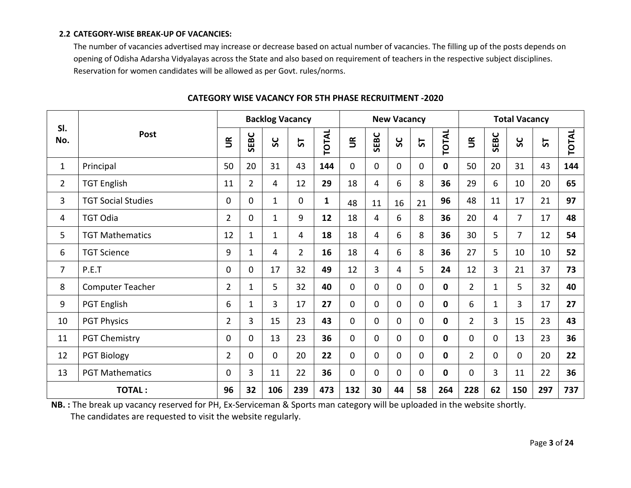#### **2.2 CATEGORY-WISE BREAK-UP OF VACANCIES:**

The number of vacancies advertised may increase or decrease based on actual number of vacancies. The filling up of the posts depends on opening of Odisha Adarsha Vidyalayas across the State and also based on requirement of teachers in the respective subject disciplines. Reservation for women candidates will be allowed as per Govt. rules/norms.

| SI.            |                           | <b>Backlog Vacancy</b>   |                |              | <b>New Vacancy</b> |              |                          |          | <b>Total Vacancy</b> |    |              |                |              |                |     |              |
|----------------|---------------------------|--------------------------|----------------|--------------|--------------------|--------------|--------------------------|----------|----------------------|----|--------------|----------------|--------------|----------------|-----|--------------|
| No.            | Post                      | $\widetilde{\mathbb{E}}$ | SEBC           | ပ္တ          | 5                  | TOTAL        | $\widetilde{\mathbb{E}}$ | SEBC     | ပွဲ                  | 57 | <b>TOTAL</b> | $\tilde{5}$    | SEBC         | ပ္တ            | 5   | <b>TOTAL</b> |
| $\mathbf{1}$   | Principal                 | 50                       | 20             | 31           | 43                 | 144          | $\mathbf 0$              | 0        | $\mathbf{0}$         | 0  | $\mathbf{0}$ | 50             | 20           | 31             | 43  | 144          |
| $\overline{2}$ | <b>TGT English</b>        | 11                       | $\overline{2}$ | 4            | 12                 | 29           | 18                       | 4        | 6                    | 8  | 36           | 29             | 6            | 10             | 20  | 65           |
| $\overline{3}$ | <b>TGT Social Studies</b> | 0                        | $\mathbf 0$    | $\mathbf{1}$ | $\Omega$           | $\mathbf{1}$ | 48                       | 11       | 16                   | 21 | 96           | 48             | 11           | 17             | 21  | 97           |
| 4              | <b>TGT Odia</b>           | $\overline{2}$           | $\mathbf 0$    | $\mathbf{1}$ | 9                  | 12           | 18                       | 4        | 6                    | 8  | 36           | 20             | 4            | $\overline{7}$ | 17  | 48           |
| 5              | <b>TGT Mathematics</b>    | 12                       | $\mathbf{1}$   | $\mathbf{1}$ | 4                  | 18           | 18                       | 4        | 6                    | 8  | 36           | 30             | 5            | $\overline{7}$ | 12  | 54           |
| 6              | <b>TGT Science</b>        | 9                        | $\mathbf{1}$   | 4            | $\overline{2}$     | 16           | 18                       | 4        | 6                    | 8  | 36           | 27             | 5            | 10             | 10  | 52           |
| 7              | P.E.T                     | $\Omega$                 | $\mathbf 0$    | 17           | 32                 | 49           | 12                       | 3        | 4                    | 5  | 24           | 12             | 3            | 21             | 37  | 73           |
| 8              | Computer Teacher          | $\overline{2}$           | $\mathbf{1}$   | 5            | 32                 | 40           | $\mathbf 0$              | 0        | $\mathbf{0}$         | 0  | 0            | $\overline{2}$ | $\mathbf{1}$ | 5              | 32  | 40           |
| 9              | <b>PGT English</b>        | 6                        | $\mathbf{1}$   | 3            | 17                 | 27           | $\mathbf 0$              | 0        | $\mathbf 0$          | 0  | 0            | 6              | $\mathbf{1}$ | $\overline{3}$ | 17  | 27           |
| 10             | <b>PGT Physics</b>        | $\overline{2}$           | 3              | 15           | 23                 | 43           | $\mathbf 0$              | 0        | $\mathbf{0}$         | 0  | $\mathbf{0}$ | $\overline{2}$ | 3            | 15             | 23  | 43           |
| 11             | <b>PGT Chemistry</b>      | $\Omega$                 | $\mathbf 0$    | 13           | 23                 | 36           | $\mathbf 0$              | $\Omega$ | 0                    | 0  | $\Omega$     | 0              | 0            | 13             | 23  | 36           |
| 12             | <b>PGT Biology</b>        | $\overline{2}$           | $\mathbf 0$    | $\mathbf 0$  | 20                 | 22           | $\mathbf 0$              | 0        | $\Omega$             | 0  | 0            | $\overline{2}$ | $\mathbf 0$  | $\mathbf{0}$   | 20  | 22           |
| 13             | <b>PGT Mathematics</b>    | 0                        | 3              | 11           | 22                 | 36           | $\mathbf 0$              | 0        | $\Omega$             | 0  | $\mathbf{0}$ | 0              | 3            | 11             | 22  | 36           |
|                | <b>TOTAL:</b>             | 96                       | 32             | 106          | 239                | 473          | 132                      | 30       | 44                   | 58 | 264          | 228            | 62           | 150            | 297 | 737          |

## **CATEGORY WISE VACANCY FOR 5TH PHASE RECRUITMENT -2020**

**NB. :** The break up vacancy reserved for PH, Ex-Serviceman & Sports man category will be uploaded in the website shortly. The candidates are requested to visit the website regularly.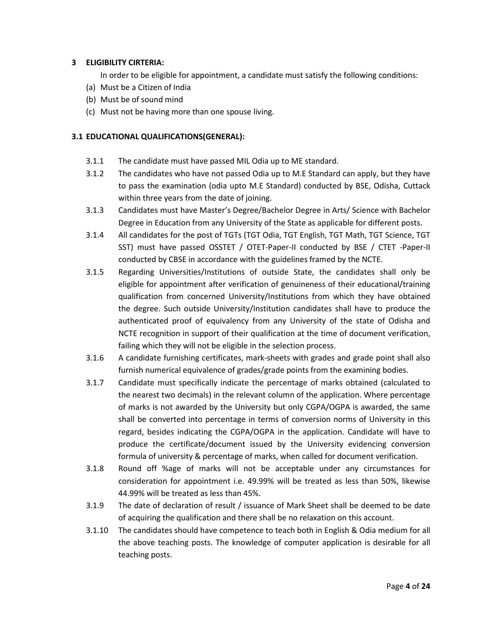## **3 ELIGIBILITY CIRTERIA:**

In order to be eligible for appointment, a candidate must satisfy the following conditions:

- (a) Must be a Citizen of India
- (b) Must be of sound mind
- (c) Must not be having more than one spouse living.

## **3.1 EDUCATIONAL QUALIFICATIONS(GENERAL):**

- 3.1.1 The candidate must have passed MIL Odia up to ME standard.
- 3.1.2 The candidates who have not passed Odia up to M.E Standard can apply, but they have to pass the examination (odia upto M.E Standard) conducted by BSE, Odisha, Cuttack within three years from the date of joining.
- 3.1.3 Candidates must have Master's Degree/Bachelor Degree in Arts/ Science with Bachelor Degree in Education from any University of the State as applicable for different posts.
- 3.1.4 All candidates for the post of TGTs (TGT Odia, TGT English, TGT Math, TGT Science, TGT SST) must have passed OSSTET / OTET-Paper-II conducted by BSE / CTET -Paper-II conducted by CBSE in accordance with the guidelines framed by the NCTE.
- 3.1.5 Regarding Universities/Institutions of outside State, the candidates shall only be eligible for appointment after verification of genuineness of their educational/training qualification from concerned University/Institutions from which they have obtained the degree. Such outside University/Institution candidates shall have to produce the authenticated proof of equivalency from any University of the state of Odisha and NCTE recognition in support of their qualification at the time of document verification, failing which they will not be eligible in the selection process.
- 3.1.6 A candidate furnishing certificates, mark-sheets with grades and grade point shall also furnish numerical equivalence of grades/grade points from the examining bodies.
- 3.1.7 Candidate must specifically indicate the percentage of marks obtained (calculated to the nearest two decimals) in the relevant column of the application. Where percentage of marks is not awarded by the University but only CGPA/OGPA is awarded, the same shall be converted into percentage in terms of conversion norms of University in this regard, besides indicating the CGPA/OGPA in the application. Candidate will have to produce the certificate/document issued by the University evidencing conversion formula of university & percentage of marks, when called for document verification.
- 3.1.8 Round off %age of marks will not be acceptable under any circumstances for consideration for appointment i.e. 49.99% will be treated as less than 50%, likewise 44.99% will be treated as less than 45%.
- 3.1.9 The date of declaration of result / issuance of Mark Sheet shall be deemed to be date of acquiring the qualification and there shall be no relaxation on this account.
- 3.1.10 The candidates should have competence to teach both in English & Odia medium for all the above teaching posts. The knowledge of computer application is desirable for all teaching posts.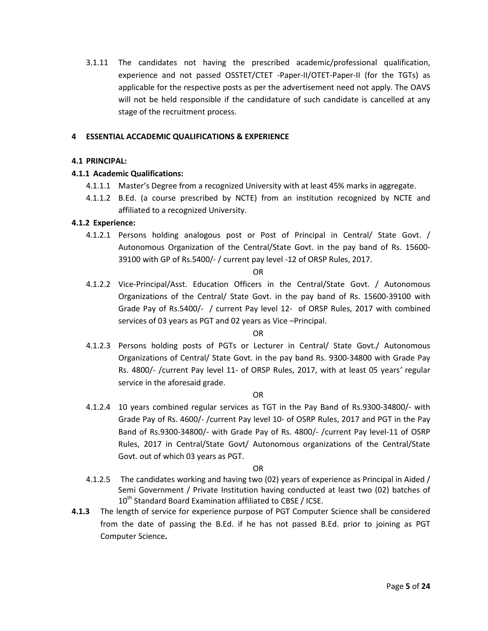3.1.11 The candidates not having the prescribed academic/professional qualification, experience and not passed OSSTET/CTET -Paper-II/OTET-Paper-II (for the TGTs) as applicable for the respective posts as per the advertisement need not apply. The OAVS will not be held responsible if the candidature of such candidate is cancelled at any stage of the recruitment process.

#### **4 ESSENTIAL ACCADEMIC QUALIFICATIONS & EXPERIENCE**

#### **4.1 PRINCIPAL:**

## **4.1.1 Academic Qualifications:**

- 4.1.1.1 Master's Degree from a recognized University with at least 45% marks in aggregate.
- 4.1.1.2 B.Ed. (a course prescribed by NCTE) from an institution recognized by NCTE and affiliated to a recognized University.

#### **4.1.2 Experience:**

4.1.2.1 Persons holding analogous post or Post of Principal in Central/ State Govt. / Autonomous Organization of the Central/State Govt. in the pay band of Rs. 15600- 39100 with GP of Rs.5400/- / current pay level -12 of ORSP Rules, 2017.

#### OR

4.1.2.2 Vice-Principal/Asst. Education Officers in the Central/State Govt. / Autonomous Organizations of the Central/ State Govt. in the pay band of Rs. 15600-39100 with Grade Pay of Rs.5400/- / current Pay level 12- of ORSP Rules, 2017 with combined services of 03 years as PGT and 02 years as Vice –Principal.

#### OR

4.1.2.3 Persons holding posts of PGTs or Lecturer in Central/ State Govt./ Autonomous Organizations of Central/ State Govt. in the pay band Rs. 9300-34800 with Grade Pay Rs. 4800/- /current Pay level 11- of ORSP Rules, 2017, with at least 05 years*'* regular service in the aforesaid grade.

#### OR

4.1.2.4 10 years combined regular services as TGT in the Pay Band of Rs.9300-34800/- with Grade Pay of Rs. 4600/- /current Pay level 10- of OSRP Rules, 2017 and PGT in the Pay Band of Rs.9300-34800/- with Grade Pay of Rs. 4800/- /current Pay level-11 of OSRP Rules, 2017 in Central/State Govt/ Autonomous organizations of the Central/State Govt. out of which 03 years as PGT.

## OR

- 4.1.2.5 The candidates working and having two (02) years of experience as Principal in Aided / Semi Government / Private Institution having conducted at least two (02) batches of 10<sup>th</sup> Standard Board Examination affiliated to CBSE / ICSE.
- **4.1.3** The length of service for experience purpose of PGT Computer Science shall be considered from the date of passing the B.Ed. if he has not passed B.Ed. prior to joining as PGT Computer Science**.**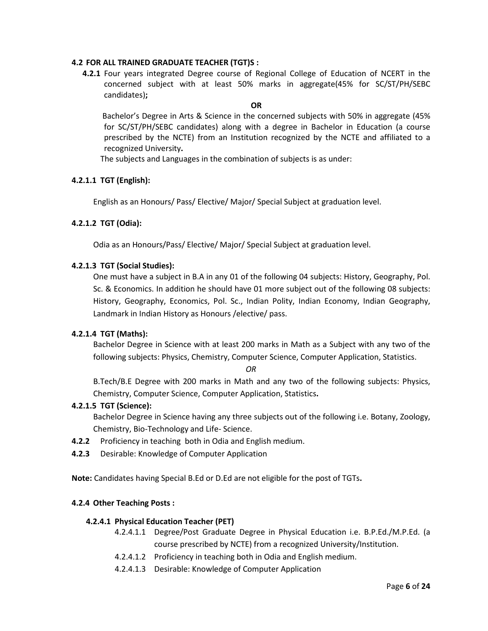#### **4.2 FOR ALL TRAINED GRADUATE TEACHER (TGT)S :**

**4.2.1** Four years integrated Degree course of Regional College of Education of NCERT in the concerned subject with at least 50% marks in aggregate(45% for SC/ST/PH/SEBC candidates)**;** 

## **OR**

Bachelor's Degree in Arts & Science in the concerned subjects with 50% in aggregate (45% for SC/ST/PH/SEBC candidates) along with a degree in Bachelor in Education (a course prescribed by the NCTE) from an Institution recognized by the NCTE and affiliated to a recognized University**.** 

The subjects and Languages in the combination of subjects is as under:

#### **4.2.1.1 TGT (English):**

English as an Honours/ Pass/ Elective/ Major/ Special Subject at graduation level.

#### **4.2.1.2 TGT (Odia):**

Odia as an Honours/Pass/ Elective/ Major/ Special Subject at graduation level.

#### **4.2.1.3 TGT (Social Studies):**

One must have a subject in B.A in any 01 of the following 04 subjects: History, Geography, Pol. Sc. & Economics. In addition he should have 01 more subject out of the following 08 subjects: History, Geography, Economics, Pol. Sc., Indian Polity, Indian Economy, Indian Geography, Landmark in Indian History as Honours /elective/ pass.

#### **4.2.1.4 TGT (Maths):**

Bachelor Degree in Science with at least 200 marks in Math as a Subject with any two of the following subjects: Physics, Chemistry, Computer Science, Computer Application, Statistics.

#### *OR*

B.Tech/B.E Degree with 200 marks in Math and any two of the following subjects: Physics, Chemistry, Computer Science, Computer Application, Statistics**.**

#### **4.2.1.5 TGT (Science):**

Bachelor Degree in Science having any three subjects out of the following i.e. Botany, Zoology, Chemistry, Bio-Technology and Life- Science.

- **4.2.2** Proficiency in teaching both in Odia and English medium.
- **4.2.3** Desirable: Knowledge of Computer Application

**Note:** Candidates having Special B.Ed or D.Ed are not eligible for the post of TGTs**.**

#### **4.2.4 Other Teaching Posts :**

#### **4.2.4.1 Physical Education Teacher (PET)**

- 4.2.4.1.1 Degree/Post Graduate Degree in Physical Education i.e. B.P.Ed./M.P.Ed. (a course prescribed by NCTE) from a recognized University/Institution.
- 4.2.4.1.2 Proficiency in teaching both in Odia and English medium.
- 4.2.4.1.3 Desirable: Knowledge of Computer Application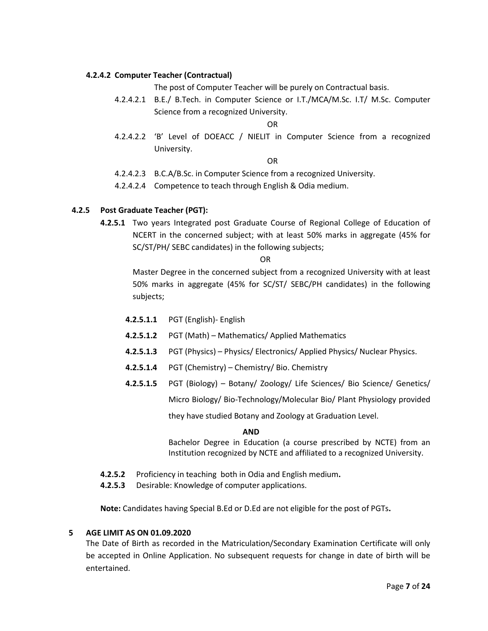#### **4.2.4.2 Computer Teacher (Contractual)**

The post of Computer Teacher will be purely on Contractual basis.

4.2.4.2.1 B.E./ B.Tech. in Computer Science or I.T./MCA/M.Sc. I.T/ M.Sc. Computer Science from a recognized University.

OR

4.2.4.2.2 'B' Level of DOEACC / NIELIT in Computer Science from a recognized University.

OR

- 4.2.4.2.3 B.C.A/B.Sc. in Computer Science from a recognized University.
- 4.2.4.2.4 Competence to teach through English & Odia medium.

#### **4.2.5 Post Graduate Teacher (PGT):**

**4.2.5.1** Two years Integrated post Graduate Course of Regional College of Education of NCERT in the concerned subject; with at least 50% marks in aggregate (45% for SC/ST/PH/ SEBC candidates) in the following subjects;

OR

Master Degree in the concerned subject from a recognized University with at least 50% marks in aggregate (45% for SC/ST/ SEBC/PH candidates) in the following subjects;

- **4.2.5.1.1** PGT (English)- English
- **4.2.5.1.2** PGT (Math) Mathematics/ Applied Mathematics
- **4.2.5.1.3** PGT (Physics) Physics/ Electronics/ Applied Physics/ Nuclear Physics.
- **4.2.5.1.4** PGT (Chemistry) Chemistry/ Bio. Chemistry
- **4.2.5.1.5** PGT (Biology) Botany/ Zoology/ Life Sciences/ Bio Science/ Genetics/ Micro Biology/ Bio-Technology/Molecular Bio/ Plant Physiology provided

they have studied Botany and Zoology at Graduation Level.

#### **AND**

Bachelor Degree in Education (a course prescribed by NCTE) from an Institution recognized by NCTE and affiliated to a recognized University.

- **4.2.5.2** Proficiency in teaching both in Odia and English medium**.**
- **4.2.5.3** Desirable: Knowledge of computer applications.

**Note:** Candidates having Special B.Ed or D.Ed are not eligible for the post of PGTs**.**

#### **5 AGE LIMIT AS ON 01.09.2020**

The Date of Birth as recorded in the Matriculation/Secondary Examination Certificate will only be accepted in Online Application. No subsequent requests for change in date of birth will be entertained.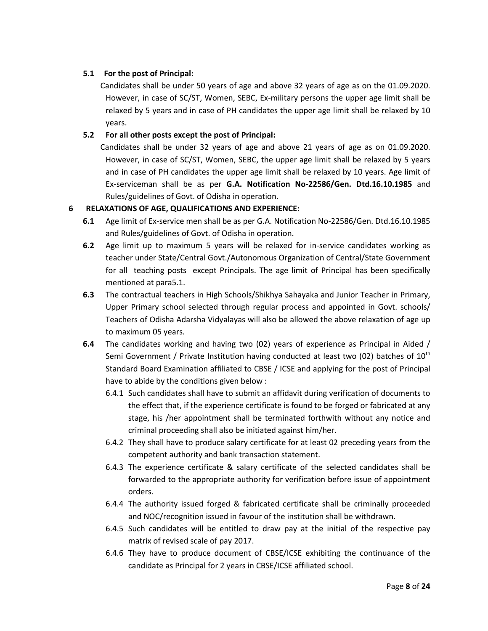# **5.1 For the post of Principal:**

Candidates shall be under 50 years of age and above 32 years of age as on the 01.09.2020. However, in case of SC/ST, Women, SEBC, Ex-military persons the upper age limit shall be relaxed by 5 years and in case of PH candidates the upper age limit shall be relaxed by 10 years.

# **5.2 For all other posts except the post of Principal:**

Candidates shall be under 32 years of age and above 21 years of age as on 01.09.2020. However, in case of SC/ST, Women, SEBC, the upper age limit shall be relaxed by 5 years and in case of PH candidates the upper age limit shall be relaxed by 10 years. Age limit of Ex-serviceman shall be as per **G.A. Notification No-22586/Gen. Dtd.16.10.1985** and Rules/guidelines of Govt. of Odisha in operation.

# **6 RELAXATIONS OF AGE, QUALIFICATIONS AND EXPERIENCE:**

- **6.1** Age limit of Ex-service men shall be as per G.A. Notification No-22586/Gen. Dtd.16.10.1985 and Rules/guidelines of Govt. of Odisha in operation.
- **6.2** Age limit up to maximum 5 years will be relaxed for in-service candidates working as teacher under State/Central Govt./Autonomous Organization of Central/State Government for all teaching posts except Principals. The age limit of Principal has been specifically mentioned at para5.1.
- **6.3** The contractual teachers in High Schools/Shikhya Sahayaka and Junior Teacher in Primary, Upper Primary school selected through regular process and appointed in Govt. schools/ Teachers of Odisha Adarsha Vidyalayas will also be allowed the above relaxation of age up to maximum 05 years*.*
- **6.4** The candidates working and having two (02) years of experience as Principal in Aided / Semi Government / Private Institution having conducted at least two (02) batches of  $10^{th}$ Standard Board Examination affiliated to CBSE / ICSE and applying for the post of Principal have to abide by the conditions given below :
	- 6.4.1 Such candidates shall have to submit an affidavit during verification of documents to the effect that, if the experience certificate is found to be forged or fabricated at any stage, his /her appointment shall be terminated forthwith without any notice and criminal proceeding shall also be initiated against him/her.
	- 6.4.2 They shall have to produce salary certificate for at least 02 preceding years from the competent authority and bank transaction statement.
	- 6.4.3 The experience certificate & salary certificate of the selected candidates shall be forwarded to the appropriate authority for verification before issue of appointment orders.
	- 6.4.4 The authority issued forged & fabricated certificate shall be criminally proceeded and NOC/recognition issued in favour of the institution shall be withdrawn.
	- 6.4.5 Such candidates will be entitled to draw pay at the initial of the respective pay matrix of revised scale of pay 2017.
	- 6.4.6 They have to produce document of CBSE/ICSE exhibiting the continuance of the candidate as Principal for 2 years in CBSE/ICSE affiliated school.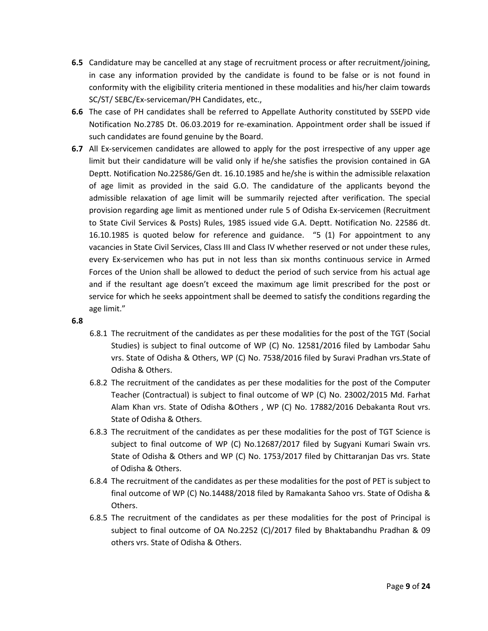- **6.5** Candidature may be cancelled at any stage of recruitment process or after recruitment/joining, in case any information provided by the candidate is found to be false or is not found in conformity with the eligibility criteria mentioned in these modalities and his/her claim towards SC/ST/ SEBC/Ex-serviceman/PH Candidates, etc.,
- **6.6** The case of PH candidates shall be referred to Appellate Authority constituted by SSEPD vide Notification No.2785 Dt. 06.03.2019 for re-examination. Appointment order shall be issued if such candidates are found genuine by the Board.
- **6.7** All Ex-servicemen candidates are allowed to apply for the post irrespective of any upper age limit but their candidature will be valid only if he/she satisfies the provision contained in GA Deptt. Notification No.22586/Gen dt. 16.10.1985 and he/she is within the admissible relaxation of age limit as provided in the said G.O. The candidature of the applicants beyond the admissible relaxation of age limit will be summarily rejected after verification. The special provision regarding age limit as mentioned under rule 5 of Odisha Ex-servicemen (Recruitment to State Civil Services & Posts) Rules, 1985 issued vide G.A. Deptt. Notification No. 22586 dt. 16.10.1985 is quoted below for reference and guidance. "5 (1) For appointment to any vacancies in State Civil Services, Class III and Class IV whether reserved or not under these rules, every Ex-servicemen who has put in not less than six months continuous service in Armed Forces of the Union shall be allowed to deduct the period of such service from his actual age and if the resultant age doesn't exceed the maximum age limit prescribed for the post or service for which he seeks appointment shall be deemed to satisfy the conditions regarding the age limit."

## **6.8**

- 6.8.1 The recruitment of the candidates as per these modalities for the post of the TGT (Social Studies) is subject to final outcome of WP (C) No. 12581/2016 filed by Lambodar Sahu vrs. State of Odisha & Others, WP (C) No. 7538/2016 filed by Suravi Pradhan vrs.State of Odisha & Others.
- 6.8.2 The recruitment of the candidates as per these modalities for the post of the Computer Teacher (Contractual) is subject to final outcome of WP (C) No. 23002/2015 Md. Farhat Alam Khan vrs. State of Odisha &Others , WP (C) No. 17882/2016 Debakanta Rout vrs. State of Odisha & Others.
- 6.8.3 The recruitment of the candidates as per these modalities for the post of TGT Science is subject to final outcome of WP (C) No.12687/2017 filed by Sugyani Kumari Swain vrs. State of Odisha & Others and WP (C) No. 1753/2017 filed by Chittaranjan Das vrs. State of Odisha & Others.
- 6.8.4 The recruitment of the candidates as per these modalities for the post of PET is subject to final outcome of WP (C) No.14488/2018 filed by Ramakanta Sahoo vrs. State of Odisha & Others.
- 6.8.5 The recruitment of the candidates as per these modalities for the post of Principal is subject to final outcome of OA No.2252 (C)/2017 filed by Bhaktabandhu Pradhan & 09 others vrs. State of Odisha & Others.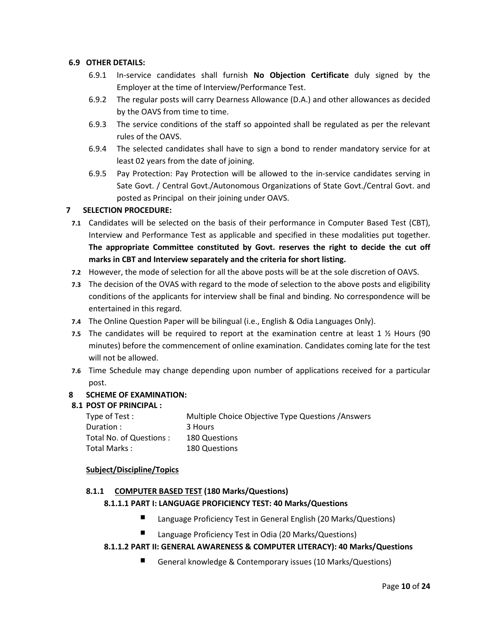## **6.9 OTHER DETAILS:**

- 6.9.1 In-service candidates shall furnish **No Objection Certificate** duly signed by the Employer at the time of Interview/Performance Test.
- 6.9.2 The regular posts will carry Dearness Allowance (D.A.) and other allowances as decided by the OAVS from time to time.
- 6.9.3 The service conditions of the staff so appointed shall be regulated as per the relevant rules of the OAVS.
- 6.9.4 The selected candidates shall have to sign a bond to render mandatory service for at least 02 years from the date of joining.
- 6.9.5 Pay Protection: Pay Protection will be allowed to the in-service candidates serving in Sate Govt. / Central Govt./Autonomous Organizations of State Govt./Central Govt. and posted as Principal on their joining under OAVS.

## **7 SELECTION PROCEDURE:**

- **7.1** Candidates will be selected on the basis of their performance in Computer Based Test (CBT), Interview and Performance Test as applicable and specified in these modalities put together. **The appropriate Committee constituted by Govt. reserves the right to decide the cut off marks in CBT and Interview separately and the criteria for short listing.**
- **7.2** However, the mode of selection for all the above posts will be at the sole discretion of OAVS.
- **7.3** The decision of the OVAS with regard to the mode of selection to the above posts and eligibility conditions of the applicants for interview shall be final and binding. No correspondence will be entertained in this regard.
- **7.4** The Online Question Paper will be bilingual (i.e., English & Odia Languages Only).
- **7.5** The candidates will be required to report at the examination centre at least 1 ½ Hours (90 minutes) before the commencement of online examination. Candidates coming late for the test will not be allowed.
- **7.6** Time Schedule may change depending upon number of applications received for a particular post.

## **8 SCHEME OF EXAMINATION:**

#### **8.1 POST OF PRINCIPAL :**

| Type of Test :          | Multiple Choice Objective Type Questions / Answers |
|-------------------------|----------------------------------------------------|
| Duration:               | 3 Hours                                            |
| Total No. of Questions: | 180 Questions                                      |
| Total Marks:            | 180 Questions                                      |

## **Subject/Discipline/Topics**

#### **8.1.1 COMPUTER BASED TEST (180 Marks/Questions)**

## **8.1.1.1 PART I: LANGUAGE PROFICIENCY TEST: 40 Marks/Questions**

- Language Proficiency Test in General English (20 Marks/Questions)
- Language Proficiency Test in Odia (20 Marks/Questions)

## **8.1.1.2 PART II: GENERAL AWARENESS & COMPUTER LITERACY): 40 Marks/Questions**

General knowledge & Contemporary issues (10 Marks/Questions)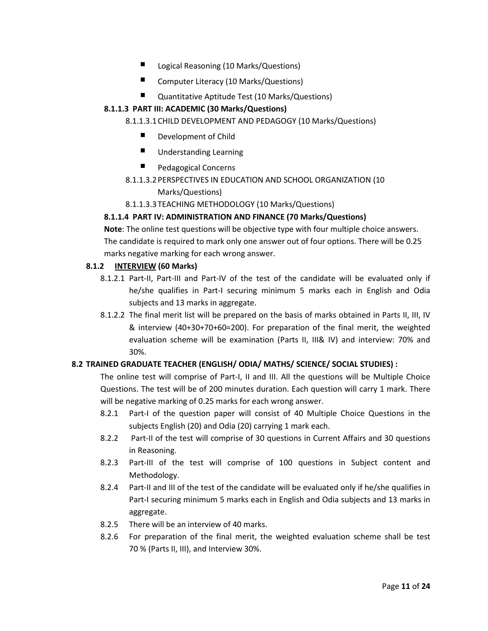- Logical Reasoning (10 Marks/Questions)
- Computer Literacy (10 Marks/Questions)
- Quantitative Aptitude Test (10 Marks/Questions)

# **8.1.1.3 PART III: ACADEMIC (30 Marks/Questions)**

# 8.1.1.3.1CHILD DEVELOPMENT AND PEDAGOGY (10 Marks/Questions)

- Development of Child
- **Understanding Learning**
- Pedagogical Concerns

# 8.1.1.3.2PERSPECTIVES IN EDUCATION AND SCHOOL ORGANIZATION (10

Marks/Questions)

# 8.1.1.3.3TEACHING METHODOLOGY (10 Marks/Questions)

# **8.1.1.4 PART IV: ADMINISTRATION AND FINANCE (70 Marks/Questions)**

**Note**: The online test questions will be objective type with four multiple choice answers. The candidate is required to mark only one answer out of four options. There will be 0.25 marks negative marking for each wrong answer.

# **8.1.2 INTERVIEW (60 Marks)**

- 8.1.2.1 Part-II, Part-III and Part-IV of the test of the candidate will be evaluated only if he/she qualifies in Part-I securing minimum 5 marks each in English and Odia subjects and 13 marks in aggregate.
- 8.1.2.2 The final merit list will be prepared on the basis of marks obtained in Parts II, III, IV & interview (40+30+70+60=200). For preparation of the final merit, the weighted evaluation scheme will be examination (Parts II, III& IV) and interview: 70% and 30%.

# **8.2 TRAINED GRADUATE TEACHER (ENGLISH/ ODIA/ MATHS/ SCIENCE/ SOCIAL STUDIES) :**

The online test will comprise of Part-I, II and III. All the questions will be Multiple Choice Questions. The test will be of 200 minutes duration. Each question will carry 1 mark. There will be negative marking of 0.25 marks for each wrong answer.

- 8.2.1 Part-I of the question paper will consist of 40 Multiple Choice Questions in the subjects English (20) and Odia (20) carrying 1 mark each.
- 8.2.2 Part-II of the test will comprise of 30 questions in Current Affairs and 30 questions in Reasoning.
- 8.2.3 Part-III of the test will comprise of 100 questions in Subject content and Methodology.
- 8.2.4 Part-II and III of the test of the candidate will be evaluated only if he/she qualifies in Part-I securing minimum 5 marks each in English and Odia subjects and 13 marks in aggregate.
- 8.2.5 There will be an interview of 40 marks.
- 8.2.6 For preparation of the final merit, the weighted evaluation scheme shall be test 70 % (Parts II, III), and Interview 30%.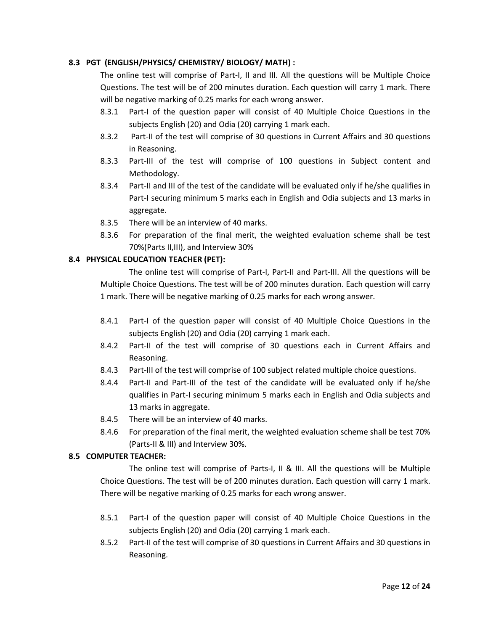# **8.3 PGT (ENGLISH/PHYSICS/ CHEMISTRY/ BIOLOGY/ MATH) :**

The online test will comprise of Part-I, II and III. All the questions will be Multiple Choice Questions. The test will be of 200 minutes duration. Each question will carry 1 mark. There will be negative marking of 0.25 marks for each wrong answer.

- 8.3.1 Part-I of the question paper will consist of 40 Multiple Choice Questions in the subjects English (20) and Odia (20) carrying 1 mark each.
- 8.3.2 Part-II of the test will comprise of 30 questions in Current Affairs and 30 questions in Reasoning.
- 8.3.3 Part-III of the test will comprise of 100 questions in Subject content and Methodology.
- 8.3.4 Part-II and III of the test of the candidate will be evaluated only if he/she qualifies in Part-I securing minimum 5 marks each in English and Odia subjects and 13 marks in aggregate.
- 8.3.5 There will be an interview of 40 marks.
- 8.3.6 For preparation of the final merit, the weighted evaluation scheme shall be test 70%(Parts II,III), and Interview 30%

## **8.4 PHYSICAL EDUCATION TEACHER (PET):**

The online test will comprise of Part-I, Part-II and Part-III. All the questions will be Multiple Choice Questions. The test will be of 200 minutes duration. Each question will carry 1 mark. There will be negative marking of 0.25 marks for each wrong answer.

- 8.4.1 Part-I of the question paper will consist of 40 Multiple Choice Questions in the subjects English (20) and Odia (20) carrying 1 mark each.
- 8.4.2 Part-II of the test will comprise of 30 questions each in Current Affairs and Reasoning.
- 8.4.3 Part-III of the test will comprise of 100 subject related multiple choice questions.
- 8.4.4 Part-II and Part-III of the test of the candidate will be evaluated only if he/she qualifies in Part-I securing minimum 5 marks each in English and Odia subjects and 13 marks in aggregate.
- 8.4.5 There will be an interview of 40 marks.
- 8.4.6 For preparation of the final merit, the weighted evaluation scheme shall be test 70% (Parts-II & III) and Interview 30%.

## **8.5 COMPUTER TEACHER:**

The online test will comprise of Parts-I, II & III. All the questions will be Multiple Choice Questions. The test will be of 200 minutes duration. Each question will carry 1 mark. There will be negative marking of 0.25 marks for each wrong answer.

- 8.5.1 Part-I of the question paper will consist of 40 Multiple Choice Questions in the subjects English (20) and Odia (20) carrying 1 mark each.
- 8.5.2 Part-II of the test will comprise of 30 questions in Current Affairs and 30 questions in Reasoning.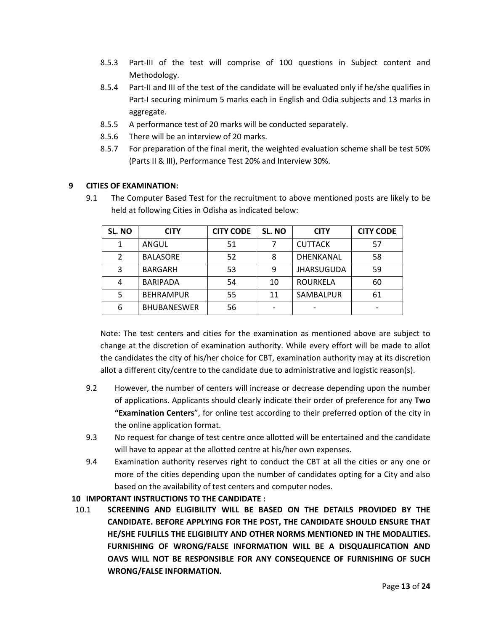- 8.5.3 Part-III of the test will comprise of 100 questions in Subject content and Methodology.
- 8.5.4 Part-II and III of the test of the candidate will be evaluated only if he/she qualifies in Part-I securing minimum 5 marks each in English and Odia subjects and 13 marks in aggregate.
- 8.5.5 A performance test of 20 marks will be conducted separately.
- 8.5.6 There will be an interview of 20 marks.
- 8.5.7 For preparation of the final merit, the weighted evaluation scheme shall be test 50% (Parts II & III), Performance Test 20% and Interview 30%.

#### **9 CITIES OF EXAMINATION:**

9.1 The Computer Based Test for the recruitment to above mentioned posts are likely to be held at following Cities in Odisha as indicated below:

| SL. NO        | <b>CITY</b>        | <b>CITY CODE</b> | SL. NO | <b>CITY</b>       | <b>CITY CODE</b> |
|---------------|--------------------|------------------|--------|-------------------|------------------|
|               | ANGUL              | 51               |        | <b>CUTTACK</b>    | 57               |
| $\mathcal{P}$ | <b>BALASORE</b>    | 52               | 8      | DHENKANAL         | 58               |
| 3             | <b>BARGARH</b>     | 53               | 9      | <b>JHARSUGUDA</b> | 59               |
| 4             | <b>BARIPADA</b>    | 54               | 10     | <b>ROURKELA</b>   | 60               |
| 5             | <b>BEHRAMPUR</b>   | 55               | 11     | SAMBALPUR         | 61               |
| 6             | <b>BHUBANESWER</b> | 56               |        |                   |                  |

Note: The test centers and cities for the examination as mentioned above are subject to change at the discretion of examination authority. While every effort will be made to allot the candidates the city of his/her choice for CBT, examination authority may at its discretion allot a different city/centre to the candidate due to administrative and logistic reason(s).

- 9.2 However, the number of centers will increase or decrease depending upon the number of applications. Applicants should clearly indicate their order of preference for any **Two "Examination Centers**", for online test according to their preferred option of the city in the online application format.
- 9.3 No request for change of test centre once allotted will be entertained and the candidate will have to appear at the allotted centre at his/her own expenses.
- 9.4 Examination authority reserves right to conduct the CBT at all the cities or any one or more of the cities depending upon the number of candidates opting for a City and also based on the availability of test centers and computer nodes.

#### **10 IMPORTANT INSTRUCTIONS TO THE CANDIDATE :**

10.1 **SCREENING AND ELIGIBILITY WILL BE BASED ON THE DETAILS PROVIDED BY THE CANDIDATE. BEFORE APPLYING FOR THE POST, THE CANDIDATE SHOULD ENSURE THAT HE/SHE FULFILLS THE ELIGIBILITY AND OTHER NORMS MENTIONED IN THE MODALITIES. FURNISHING OF WRONG/FALSE INFORMATION WILL BE A DISQUALIFICATION AND OAVS WILL NOT BE RESPONSIBLE FOR ANY CONSEQUENCE OF FURNISHING OF SUCH WRONG/FALSE INFORMATION.**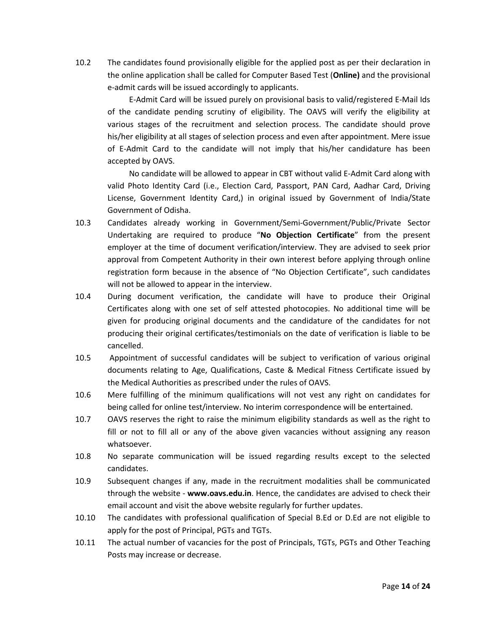10.2 The candidates found provisionally eligible for the applied post as per their declaration in the online application shall be called for Computer Based Test (**Online)** and the provisional e-admit cards will be issued accordingly to applicants.

E-Admit Card will be issued purely on provisional basis to valid/registered E-Mail Ids of the candidate pending scrutiny of eligibility. The OAVS will verify the eligibility at various stages of the recruitment and selection process. The candidate should prove his/her eligibility at all stages of selection process and even after appointment. Mere issue of E-Admit Card to the candidate will not imply that his/her candidature has been accepted by OAVS.

No candidate will be allowed to appear in CBT without valid E-Admit Card along with valid Photo Identity Card (i.e., Election Card, Passport, PAN Card, Aadhar Card, Driving License, Government Identity Card,) in original issued by Government of India/State Government of Odisha.

- 10.3 Candidates already working in Government/Semi-Government/Public/Private Sector Undertaking are required to produce "**No Objection Certificate**" from the present employer at the time of document verification/interview. They are advised to seek prior approval from Competent Authority in their own interest before applying through online registration form because in the absence of "No Objection Certificate", such candidates will not be allowed to appear in the interview.
- 10.4 During document verification, the candidate will have to produce their Original Certificates along with one set of self attested photocopies. No additional time will be given for producing original documents and the candidature of the candidates for not producing their original certificates/testimonials on the date of verification is liable to be cancelled.
- 10.5 Appointment of successful candidates will be subject to verification of various original documents relating to Age, Qualifications, Caste & Medical Fitness Certificate issued by the Medical Authorities as prescribed under the rules of OAVS.
- 10.6 Mere fulfilling of the minimum qualifications will not vest any right on candidates for being called for online test/interview. No interim correspondence will be entertained.
- 10.7 OAVS reserves the right to raise the minimum eligibility standards as well as the right to fill or not to fill all or any of the above given vacancies without assigning any reason whatsoever.
- 10.8 No separate communication will be issued regarding results except to the selected candidates.
- 10.9 Subsequent changes if any, made in the recruitment modalities shall be communicated through the website - **www.oavs.edu.in**. Hence, the candidates are advised to check their email account and visit the above website regularly for further updates.
- 10.10 The candidates with professional qualification of Special B.Ed or D.Ed are not eligible to apply for the post of Principal, PGTs and TGTs.
- 10.11 The actual number of vacancies for the post of Principals, TGTs, PGTs and Other Teaching Posts may increase or decrease.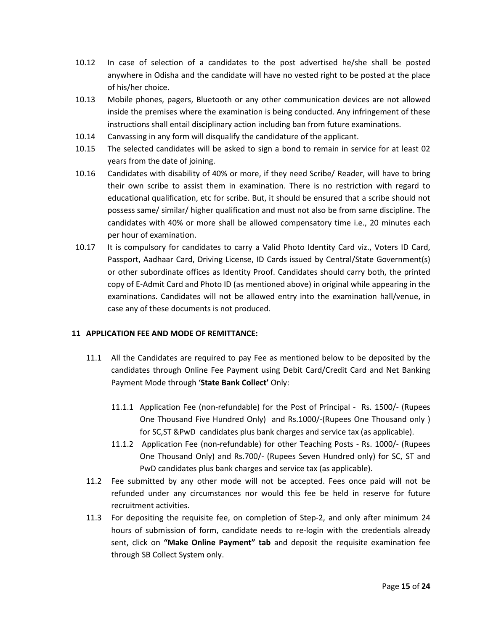- 10.12 In case of selection of a candidates to the post advertised he/she shall be posted anywhere in Odisha and the candidate will have no vested right to be posted at the place of his/her choice.
- 10.13 Mobile phones, pagers, Bluetooth or any other communication devices are not allowed inside the premises where the examination is being conducted. Any infringement of these instructions shall entail disciplinary action including ban from future examinations.
- 10.14 Canvassing in any form will disqualify the candidature of the applicant.
- 10.15 The selected candidates will be asked to sign a bond to remain in service for at least 02 years from the date of joining.
- 10.16 Candidates with disability of 40% or more, if they need Scribe/ Reader, will have to bring their own scribe to assist them in examination. There is no restriction with regard to educational qualification, etc for scribe. But, it should be ensured that a scribe should not possess same/ similar/ higher qualification and must not also be from same discipline. The candidates with 40% or more shall be allowed compensatory time i.e., 20 minutes each per hour of examination.
- 10.17 It is compulsory for candidates to carry a Valid Photo Identity Card viz., Voters ID Card, Passport, Aadhaar Card, Driving License, ID Cards issued by Central/State Government(s) or other subordinate offices as Identity Proof. Candidates should carry both, the printed copy of E-Admit Card and Photo ID (as mentioned above) in original while appearing in the examinations. Candidates will not be allowed entry into the examination hall/venue, in case any of these documents is not produced.

## **11 APPLICATION FEE AND MODE OF REMITTANCE:**

- 11.1 All the Candidates are required to pay Fee as mentioned below to be deposited by the candidates through Online Fee Payment using Debit Card/Credit Card and Net Banking Payment Mode through '**State Bank Collect'** Only:
	- 11.1.1 Application Fee (non-refundable) for the Post of Principal Rs. 1500/- (Rupees One Thousand Five Hundred Only) and Rs.1000/-(Rupees One Thousand only ) for SC,ST &PwD candidates plus bank charges and service tax (as applicable).
	- 11.1.2 Application Fee (non-refundable) for other Teaching Posts Rs. 1000/- (Rupees One Thousand Only) and Rs.700/- (Rupees Seven Hundred only) for SC, ST and PwD candidates plus bank charges and service tax (as applicable).
- 11.2 Fee submitted by any other mode will not be accepted. Fees once paid will not be refunded under any circumstances nor would this fee be held in reserve for future recruitment activities.
- 11.3 For depositing the requisite fee, on completion of Step-2, and only after minimum 24 hours of submission of form, candidate needs to re-login with the credentials already sent, click on **"Make Online Payment" tab** and deposit the requisite examination fee through SB Collect System only.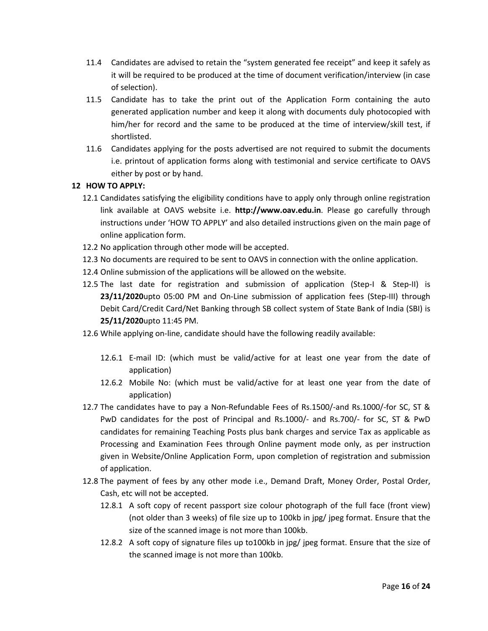- 11.4 Candidates are advised to retain the "system generated fee receipt" and keep it safely as it will be required to be produced at the time of document verification/interview (in case of selection).
- 11.5 Candidate has to take the print out of the Application Form containing the auto generated application number and keep it along with documents duly photocopied with him/her for record and the same to be produced at the time of interview/skill test, if shortlisted.
- 11.6 Candidates applying for the posts advertised are not required to submit the documents i.e. printout of application forms along with testimonial and service certificate to OAVS either by post or by hand.

# **12 HOW TO APPLY:**

- 12.1 Candidates satisfying the eligibility conditions have to apply only through online registration link available at OAVS website i.e. **http://www.oav.edu.in**. Please go carefully through instructions under 'HOW TO APPLY' and also detailed instructions given on the main page of online application form.
- 12.2 No application through other mode will be accepted.
- 12.3 No documents are required to be sent to OAVS in connection with the online application.
- 12.4 Online submission of the applications will be allowed on the website.
- 12.5 The last date for registration and submission of application (Step-I & Step-II) is **23/11/2020**upto 05:00 PM and On-Line submission of application fees (Step-III) through Debit Card/Credit Card/Net Banking through SB collect system of State Bank of India (SBI) is **25/11/2020**upto 11:45 PM.
- 12.6 While applying on-line, candidate should have the following readily available:
	- 12.6.1 E-mail ID: (which must be valid/active for at least one year from the date of application)
	- 12.6.2 Mobile No: (which must be valid/active for at least one year from the date of application)
- 12.7 The candidates have to pay a Non-Refundable Fees of Rs.1500/-and Rs.1000/-for SC, ST & PwD candidates for the post of Principal and Rs.1000/- and Rs.700/- for SC, ST & PwD candidates for remaining Teaching Posts plus bank charges and service Tax as applicable as Processing and Examination Fees through Online payment mode only, as per instruction given in Website/Online Application Form, upon completion of registration and submission of application.
- 12.8 The payment of fees by any other mode i.e., Demand Draft, Money Order, Postal Order, Cash, etc will not be accepted.
	- 12.8.1 A soft copy of recent passport size colour photograph of the full face (front view) (not older than 3 weeks) of file size up to 100kb in jpg/ jpeg format. Ensure that the size of the scanned image is not more than 100kb.
	- 12.8.2 A soft copy of signature files up to100kb in jpg/ jpeg format. Ensure that the size of the scanned image is not more than 100kb.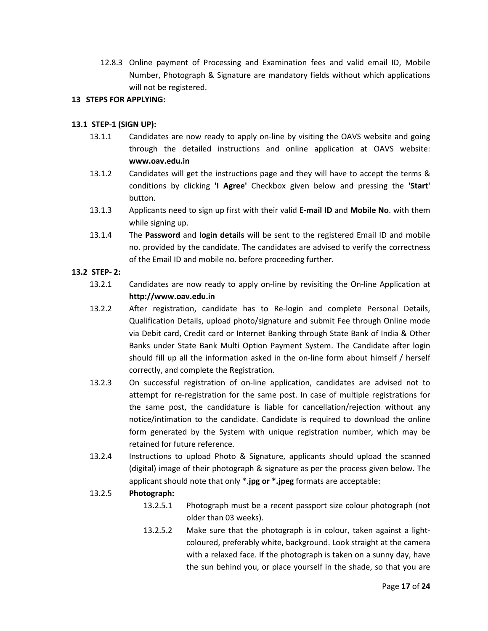12.8.3 Online payment of Processing and Examination fees and valid email ID, Mobile Number, Photograph & Signature are mandatory fields without which applications will not be registered.

## **13 STEPS FOR APPLYING:**

#### **13.1 STEP-1 (SIGN UP):**

- 13.1.1 Candidates are now ready to apply on-line by visiting the OAVS website and going through the detailed instructions and online application at OAVS website: **[www.oav.edu.in](http://www.oav.edu.in/)**
- 13.1.2 Candidates will get the instructions page and they will have to accept the terms & conditions by clicking **'I Agree'** Checkbox given below and pressing the **'Start'**  button.
- 13.1.3 Applicants need to sign up first with their valid **E-mail ID** and **Mobile No**. with them while signing up.
- 13.1.4 The **Password** and **login details** will be sent to the registered Email ID and mobile no. provided by the candidate. The candidates are advised to verify the correctness of the Email ID and mobile no. before proceeding further.

## **13.2 STEP- 2:**

- 13.2.1 Candidates are now ready to apply on-line by revisiting the On-line Application at **http://www.oav.edu.in**
- 13.2.2 After registration, candidate has to Re-login and complete Personal Details, Qualification Details, upload photo/signature and submit Fee through Online mode via Debit card, Credit card or Internet Banking through State Bank of India & Other Banks under State Bank Multi Option Payment System. The Candidate after login should fill up all the information asked in the on-line form about himself / herself correctly, and complete the Registration.
- 13.2.3 On successful registration of on-line application, candidates are advised not to attempt for re-registration for the same post. In case of multiple registrations for the same post, the candidature is liable for cancellation/rejection without any notice/intimation to the candidate. Candidate is required to download the online form generated by the System with unique registration number, which may be retained for future reference.
- 13.2.4 Instructions to upload Photo & Signature, applicants should upload the scanned (digital) image of their photograph & signature as per the process given below. The applicant should note that only \*.**jpg or \*.jpeg** formats are acceptable:

#### 13.2.5 **Photograph:**

- 13.2.5.1 Photograph must be a recent passport size colour photograph (not older than 03 weeks).
- 13.2.5.2 Make sure that the photograph is in colour, taken against a lightcoloured, preferably white, background. Look straight at the camera with a relaxed face. If the photograph is taken on a sunny day, have the sun behind you, or place yourself in the shade, so that you are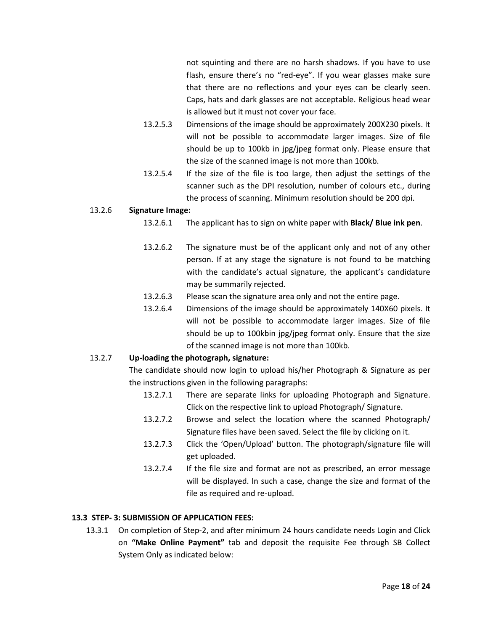not squinting and there are no harsh shadows. If you have to use flash, ensure there's no "red-eye". If you wear glasses make sure that there are no reflections and your eyes can be clearly seen. Caps, hats and dark glasses are not acceptable. Religious head wear is allowed but it must not cover your face.

- 13.2.5.3 Dimensions of the image should be approximately 200X230 pixels. It will not be possible to accommodate larger images. Size of file should be up to 100kb in jpg/jpeg format only. Please ensure that the size of the scanned image is not more than 100kb.
- 13.2.5.4 If the size of the file is too large, then adjust the settings of the scanner such as the DPI resolution, number of colours etc., during the process of scanning. Minimum resolution should be 200 dpi.

## 13.2.6 **Signature Image:**

- 13.2.6.1 The applicant has to sign on white paper with **Black/ Blue ink pen**.
- 13.2.6.2 The signature must be of the applicant only and not of any other person. If at any stage the signature is not found to be matching with the candidate's actual signature, the applicant's candidature may be summarily rejected.
- 13.2.6.3 Please scan the signature area only and not the entire page.
- 13.2.6.4 Dimensions of the image should be approximately 140X60 pixels. It will not be possible to accommodate larger images. Size of file should be up to 100kbin jpg/jpeg format only. Ensure that the size of the scanned image is not more than 100kb.

## 13.2.7 **Up-loading the photograph, signature:**

The candidate should now login to upload his/her Photograph & Signature as per the instructions given in the following paragraphs:

- 13.2.7.1 There are separate links for uploading Photograph and Signature. Click on the respective link to upload Photograph/ Signature.
- 13.2.7.2 Browse and select the location where the scanned Photograph/ Signature files have been saved. Select the file by clicking on it.
- 13.2.7.3 Click the 'Open/Upload' button. The photograph/signature file will get uploaded.
- 13.2.7.4 If the file size and format are not as prescribed, an error message will be displayed. In such a case, change the size and format of the file as required and re-upload.

## **13.3 STEP- 3: SUBMISSION OF APPLICATION FEES:**

13.3.1 On completion of Step-2, and after minimum 24 hours candidate needs Login and Click on **"Make Online Payment"** tab and deposit the requisite Fee through SB Collect System Only as indicated below: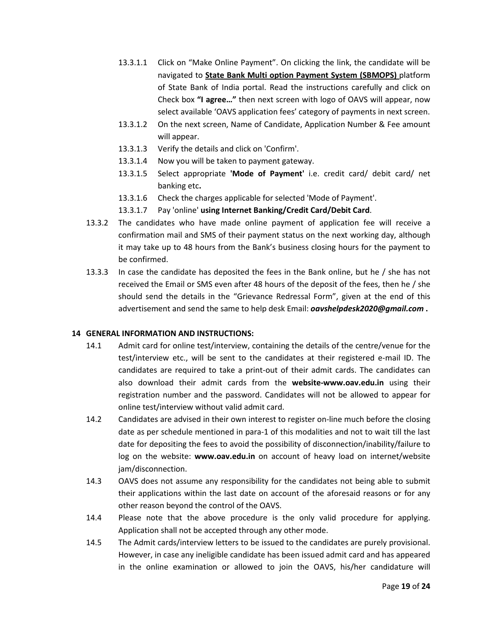- 13.3.1.1 Click on "Make Online Payment". On clicking the link, the candidate will be navigated to **State Bank Multi option Payment System (SBMOPS)** platform of State Bank of India portal. Read the instructions carefully and click on Check box **"I agree…"** then next screen with logo of OAVS will appear, now select available 'OAVS application fees' category of payments in next screen.
- 13.3.1.2 On the next screen, Name of Candidate, Application Number & Fee amount will appear.
- 13.3.1.3 Verify the details and click on 'Confirm'.
- 13.3.1.4 Now you will be taken to payment gateway.
- 13.3.1.5 Select appropriate **'Mode of Payment'** i.e. credit card/ debit card/ net banking etc**.**
- 13.3.1.6 Check the charges applicable for selected 'Mode of Payment'.
- 13.3.1.7 Pay 'online' **using Internet Banking/Credit Card/Debit Card**.
- 13.3.2 The candidates who have made online payment of application fee will receive a confirmation mail and SMS of their payment status on the next working day, although it may take up to 48 hours from the Bank's business closing hours for the payment to be confirmed.
- 13.3.3 In case the candidate has deposited the fees in the Bank online, but he / she has not received the Email or SMS even after 48 hours of the deposit of the fees, then he / she should send the details in the "Grievance Redressal Form", given at the end of this advertisement and send the same to help desk Email: *oavshelpdesk2020@gmail.com* **.**

## **14 GENERAL INFORMATION AND INSTRUCTIONS:**

- 14.1 Admit card for online test/interview, containing the details of the centre/venue for the test/interview etc., will be sent to the candidates at their registered e-mail ID. The candidates are required to take a print-out of their admit cards. The candidates can also download their admit cards from the **website-www.oav.edu.in** using their registration number and the password. Candidates will not be allowed to appear for online test/interview without valid admit card.
- 14.2 Candidates are advised in their own interest to register on-line much before the closing date as per schedule mentioned in para-1 of this modalities and not to wait till the last date for depositing the fees to avoid the possibility of disconnection/inability/failure to log on the website: **www.oav.edu.in** on account of heavy load on internet/website jam/disconnection.
- 14.3 OAVS does not assume any responsibility for the candidates not being able to submit their applications within the last date on account of the aforesaid reasons or for any other reason beyond the control of the OAVS.
- 14.4 Please note that the above procedure is the only valid procedure for applying. Application shall not be accepted through any other mode.
- 14.5 The Admit cards/interview letters to be issued to the candidates are purely provisional. However, in case any ineligible candidate has been issued admit card and has appeared in the online examination or allowed to join the OAVS, his/her candidature will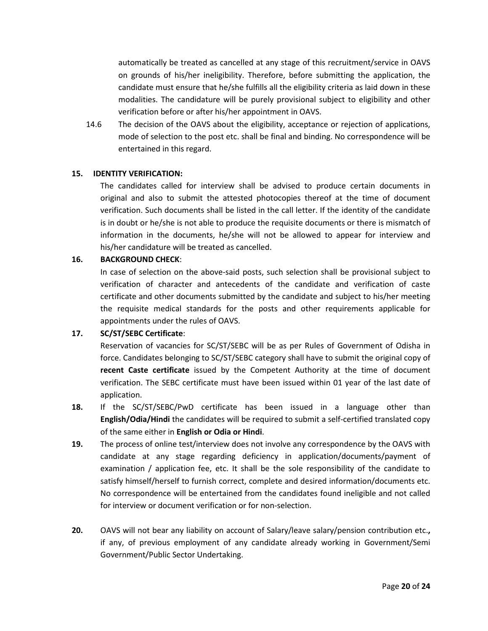automatically be treated as cancelled at any stage of this recruitment/service in OAVS on grounds of his/her ineligibility. Therefore, before submitting the application, the candidate must ensure that he/she fulfills all the eligibility criteria as laid down in these modalities. The candidature will be purely provisional subject to eligibility and other verification before or after his/her appointment in OAVS.

14.6 The decision of the OAVS about the eligibility, acceptance or rejection of applications, mode of selection to the post etc. shall be final and binding. No correspondence will be entertained in this regard.

#### **15. IDENTITY VERIFICATION:**

The candidates called for interview shall be advised to produce certain documents in original and also to submit the attested photocopies thereof at the time of document verification. Such documents shall be listed in the call letter. If the identity of the candidate is in doubt or he/she is not able to produce the requisite documents or there is mismatch of information in the documents, he/she will not be allowed to appear for interview and his/her candidature will be treated as cancelled.

#### **16. BACKGROUND CHECK**:

In case of selection on the above-said posts, such selection shall be provisional subject to verification of character and antecedents of the candidate and verification of caste certificate and other documents submitted by the candidate and subject to his/her meeting the requisite medical standards for the posts and other requirements applicable for appointments under the rules of OAVS.

## **17. SC/ST/SEBC Certificate**:

Reservation of vacancies for SC/ST/SEBC will be as per Rules of Government of Odisha in force. Candidates belonging to SC/ST/SEBC category shall have to submit the original copy of **recent Caste certificate** issued by the Competent Authority at the time of document verification. The SEBC certificate must have been issued within 01 year of the last date of application.

- **18.** If the SC/ST/SEBC/PwD certificate has been issued in a language other than **English/Odia/Hindi** the candidates will be required to submit a self-certified translated copy of the same either in **English or Odia or Hindi**.
- **19.** The process of online test/interview does not involve any correspondence by the OAVS with candidate at any stage regarding deficiency in application/documents/payment of examination / application fee, etc. It shall be the sole responsibility of the candidate to satisfy himself/herself to furnish correct, complete and desired information/documents etc. No correspondence will be entertained from the candidates found ineligible and not called for interview or document verification or for non-selection.
- **20.** OAVS will not bear any liability on account of Salary/leave salary/pension contribution etc.**,** if any, of previous employment of any candidate already working in Government/Semi Government/Public Sector Undertaking.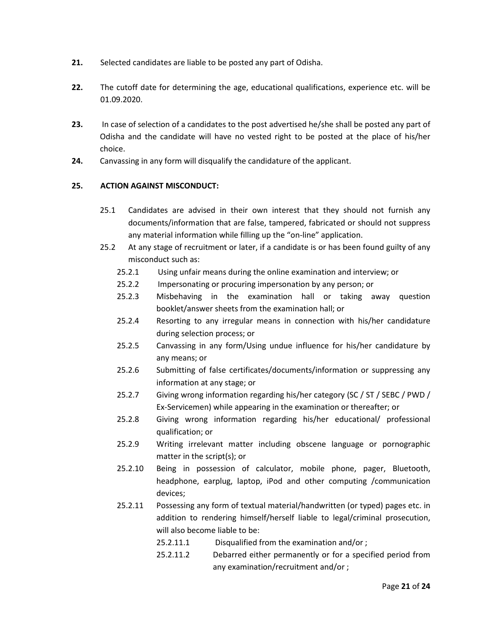- **21.** Selected candidates are liable to be posted any part of Odisha.
- **22.** The cutoff date for determining the age, educational qualifications, experience etc. will be 01.09.2020.
- **23.** In case of selection of a candidates to the post advertised he/she shall be posted any part of Odisha and the candidate will have no vested right to be posted at the place of his/her choice.
- **24.** Canvassing in any form will disqualify the candidature of the applicant.

# **25. ACTION AGAINST MISCONDUCT:**

- 25.1 Candidates are advised in their own interest that they should not furnish any documents/information that are false, tampered, fabricated or should not suppress any material information while filling up the "on-line" application.
- 25.2 At any stage of recruitment or later, if a candidate is or has been found guilty of any misconduct such as:
	- 25.2.1 Using unfair means during the online examination and interview; or
	- 25.2.2 Impersonating or procuring impersonation by any person; or
	- 25.2.3 Misbehaving in the examination hall or taking away question booklet/answer sheets from the examination hall; or
	- 25.2.4 Resorting to any irregular means in connection with his/her candidature during selection process; or
	- 25.2.5 Canvassing in any form/Using undue influence for his/her candidature by any means; or
	- 25.2.6 Submitting of false certificates/documents/information or suppressing any information at any stage; or
	- 25.2.7 Giving wrong information regarding his/her category (SC / ST / SEBC / PWD / Ex-Servicemen) while appearing in the examination or thereafter; or
	- 25.2.8 Giving wrong information regarding his/her educational/ professional qualification; or
	- 25.2.9 Writing irrelevant matter including obscene language or pornographic matter in the script(s); or
	- 25.2.10 Being in possession of calculator, mobile phone, pager, Bluetooth, headphone, earplug, laptop, iPod and other computing /communication devices;
	- 25.2.11 Possessing any form of textual material/handwritten (or typed) pages etc. in addition to rendering himself/herself liable to legal/criminal prosecution, will also become liable to be:
		- 25.2.11.1 Disqualified from the examination and/or ;
		- 25.2.11.2 Debarred either permanently or for a specified period from any examination/recruitment and/or ;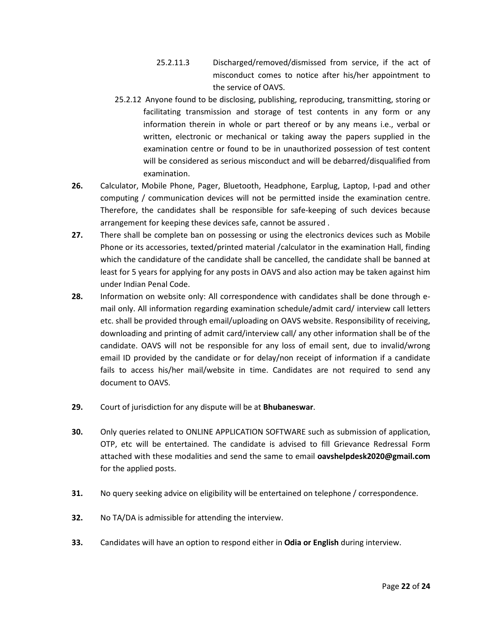- 25.2.11.3 Discharged/removed/dismissed from service, if the act of misconduct comes to notice after his/her appointment to the service of OAVS.
- 25.2.12 Anyone found to be disclosing, publishing, reproducing, transmitting, storing or facilitating transmission and storage of test contents in any form or any information therein in whole or part thereof or by any means i.e., verbal or written, electronic or mechanical or taking away the papers supplied in the examination centre or found to be in unauthorized possession of test content will be considered as serious misconduct and will be debarred/disqualified from examination.
- **26.** Calculator, Mobile Phone, Pager, Bluetooth, Headphone, Earplug, Laptop, I-pad and other computing / communication devices will not be permitted inside the examination centre. Therefore, the candidates shall be responsible for safe-keeping of such devices because arrangement for keeping these devices safe, cannot be assured .
- **27.** There shall be complete ban on possessing or using the electronics devices such as Mobile Phone or its accessories, texted/printed material /calculator in the examination Hall, finding which the candidature of the candidate shall be cancelled, the candidate shall be banned at least for 5 years for applying for any posts in OAVS and also action may be taken against him under Indian Penal Code.
- **28.** Information on website only: All correspondence with candidates shall be done through email only. All information regarding examination schedule/admit card/ interview call letters etc. shall be provided through email/uploading on OAVS website. Responsibility of receiving, downloading and printing of admit card/interview call/ any other information shall be of the candidate. OAVS will not be responsible for any loss of email sent, due to invalid/wrong email ID provided by the candidate or for delay/non receipt of information if a candidate fails to access his/her mail/website in time. Candidates are not required to send any document to OAVS.
- **29.** Court of jurisdiction for any dispute will be at **Bhubaneswar**.
- **30.** Only queries related to ONLINE APPLICATION SOFTWARE such as submission of application, OTP, etc will be entertained. The candidate is advised to fill Grievance Redressal Form attached with these modalities and send the same to email **oavshelpdesk2020@gmail.com** for the applied posts.
- **31.** No query seeking advice on eligibility will be entertained on telephone / correspondence.
- **32.** No TA/DA is admissible for attending the interview.
- **33.** Candidates will have an option to respond either in **Odia or English** during interview.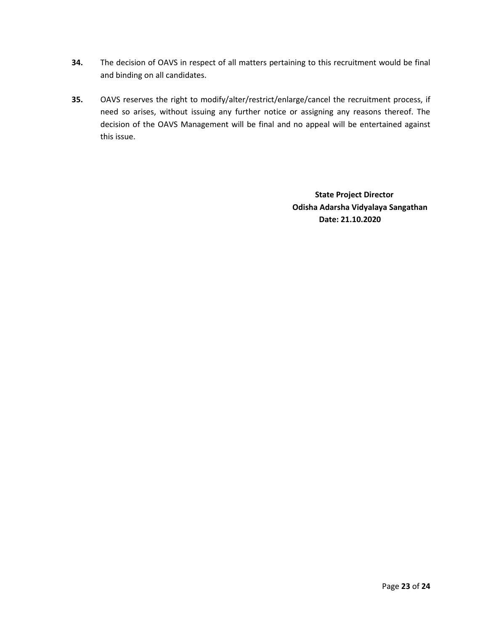- **34.** The decision of OAVS in respect of all matters pertaining to this recruitment would be final and binding on all candidates.
- **35.** OAVS reserves the right to modify/alter/restrict/enlarge/cancel the recruitment process, if need so arises, without issuing any further notice or assigning any reasons thereof. The decision of the OAVS Management will be final and no appeal will be entertained against this issue.

 **State Project Director Odisha Adarsha Vidyalaya Sangathan Date: 21.10.2020**